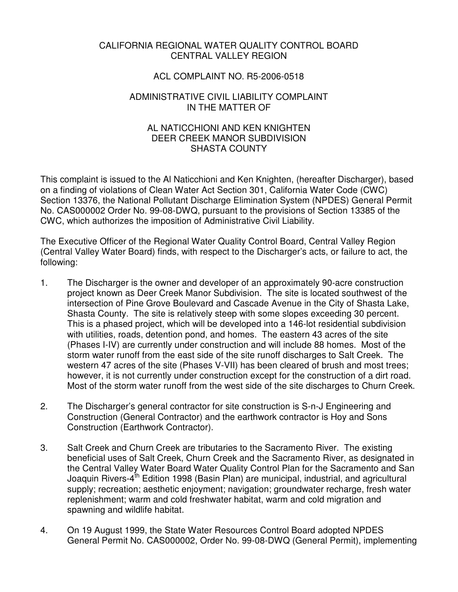## CALIFORNIA REGIONAL WATER QUALITY CONTROL BOARD CENTRAL VALLEY REGION

## ACL COMPLAINT NO. R5-2006-0518

## ADMINISTRATIVE CIVIL LIABILITY COMPLAINT IN THE MATTER OF

## AL NATICCHIONI AND KEN KNIGHTEN DEER CREEK MANOR SUBDIVISION SHASTA COUNTY

This complaint is issued to the Al Naticchioni and Ken Knighten, (hereafter Discharger), based on a finding of violations of Clean Water Act Section 301, California Water Code (CWC) Section 13376, the National Pollutant Discharge Elimination System (NPDES) General Permit No. CAS000002 Order No. 99-08-DWQ, pursuant to the provisions of Section 13385 of the CWC, which authorizes the imposition of Administrative Civil Liability.

The Executive Officer of the Regional Water Quality Control Board, Central Valley Region (Central Valley Water Board) finds, with respect to the Discharger's acts, or failure to act, the following:

- 1. The Discharger is the owner and developer of an approximately 90-acre construction project known as Deer Creek Manor Subdivision. The site is located southwest of the intersection of Pine Grove Boulevard and Cascade Avenue in the City of Shasta Lake, Shasta County. The site is relatively steep with some slopes exceeding 30 percent. This is a phased project, which will be developed into a 146-lot residential subdivision with utilities, roads, detention pond, and homes. The eastern 43 acres of the site (Phases I-IV) are currently under construction and will include 88 homes. Most of the storm water runoff from the east side of the site runoff discharges to Salt Creek. The western 47 acres of the site (Phases V-VII) has been cleared of brush and most trees; however, it is not currently under construction except for the construction of a dirt road. Most of the storm water runoff from the west side of the site discharges to Churn Creek.
- 2. The Discharger's general contractor for site construction is S-n-J Engineering and Construction (General Contractor) and the earthwork contractor is Hoy and Sons Construction (Earthwork Contractor).
- 3. Salt Creek and Churn Creek are tributaries to the Sacramento River. The existing beneficial uses of Salt Creek, Churn Creek and the Sacramento River, as designated in the Central Valley Water Board Water Quality Control Plan for the Sacramento and San Joaquin Rivers-4<sup>th</sup> Edition 1998 (Basin Plan) are municipal, industrial, and agricultural supply; recreation; aesthetic enjoyment; navigation; groundwater recharge, fresh water replenishment; warm and cold freshwater habitat, warm and cold migration and spawning and wildlife habitat.
- 4. On 19 August 1999, the State Water Resources Control Board adopted NPDES General Permit No. CAS000002, Order No. 99-08-DWQ (General Permit), implementing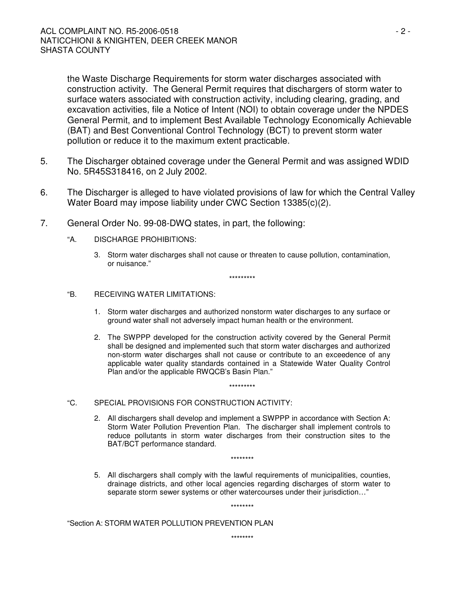the Waste Discharge Requirements for storm water discharges associated with construction activity. The General Permit requires that dischargers of storm water to surface waters associated with construction activity, including clearing, grading, and excavation activities, file a Notice of Intent (NOI) to obtain coverage under the NPDES General Permit, and to implement Best Available Technology Economically Achievable (BAT) and Best Conventional Control Technology (BCT) to prevent storm water pollution or reduce it to the maximum extent practicable.

- 5. The Discharger obtained coverage under the General Permit and was assigned WDID No. 5R45S318416, on 2 July 2002.
- 6. The Discharger is alleged to have violated provisions of law for which the Central Valley Water Board may impose liability under CWC Section 13385(c)(2).
- 7. General Order No. 99-08-DWQ states, in part, the following:
	- "A. DISCHARGE PROHIBITIONS:
		- 3. Storm water discharges shall not cause or threaten to cause pollution, contamination, or nuisance."

\*\*\*\*\*\*\*\*\*

#### "B. RECEIVING WATER LIMITATIONS:

- 1. Storm water discharges and authorized nonstorm water discharges to any surface or ground water shall not adversely impact human health or the environment.
- 2. The SWPPP developed for the construction activity covered by the General Permit shall be designed and implemented such that storm water discharges and authorized non-storm water discharges shall not cause or contribute to an exceedence of any applicable water quality standards contained in a Statewide Water Quality Control Plan and/or the applicable RWQCB's Basin Plan."

\*\*\*\*\*\*\*\*\*

- "C. SPECIAL PROVISIONS FOR CONSTRUCTION ACTIVITY:
	- 2. All dischargers shall develop and implement a SWPPP in accordance with Section A: Storm Water Pollution Prevention Plan. The discharger shall implement controls to reduce pollutants in storm water discharges from their construction sites to the BAT/BCT performance standard.

\*\*\*\*\*\*\*\*

5. All dischargers shall comply with the lawful requirements of municipalities, counties, drainage districts, and other local agencies regarding discharges of storm water to separate storm sewer systems or other watercourses under their jurisdiction…"

\*\*\*\*\*\*\*\*

"Section A: STORM WATER POLLUTION PREVENTION PLAN

\*\*\*\*\*\*\*\*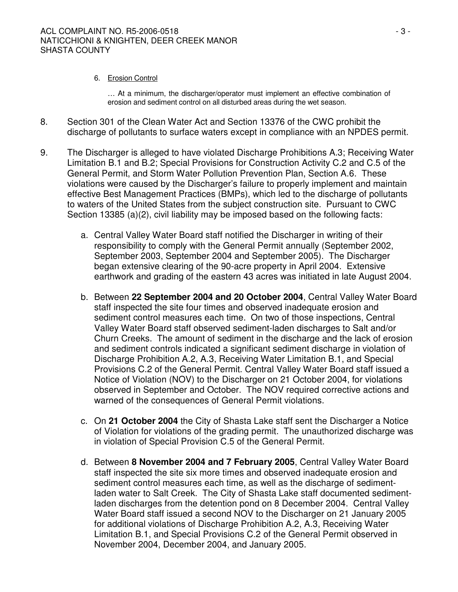### 6. Erosion Control

… At a minimum, the discharger/operator must implement an effective combination of erosion and sediment control on all disturbed areas during the wet season.

- 8. Section 301 of the Clean Water Act and Section 13376 of the CWC prohibit the discharge of pollutants to surface waters except in compliance with an NPDES permit.
- 9. The Discharger is alleged to have violated Discharge Prohibitions A.3; Receiving Water Limitation B.1 and B.2; Special Provisions for Construction Activity C.2 and C.5 of the General Permit, and Storm Water Pollution Prevention Plan, Section A.6. These violations were caused by the Discharger's failure to properly implement and maintain effective Best Management Practices (BMPs), which led to the discharge of pollutants to waters of the United States from the subject construction site. Pursuant to CWC Section 13385 (a)(2), civil liability may be imposed based on the following facts:
	- a. Central Valley Water Board staff notified the Discharger in writing of their responsibility to comply with the General Permit annually (September 2002, September 2003, September 2004 and September 2005). The Discharger began extensive clearing of the 90-acre property in April 2004. Extensive earthwork and grading of the eastern 43 acres was initiated in late August 2004.
	- b. Between **22 September 2004 and 20 October 2004**, Central Valley Water Board staff inspected the site four times and observed inadequate erosion and sediment control measures each time. On two of those inspections, Central Valley Water Board staff observed sediment-laden discharges to Salt and/or Churn Creeks. The amount of sediment in the discharge and the lack of erosion and sediment controls indicated a significant sediment discharge in violation of Discharge Prohibition A.2, A.3, Receiving Water Limitation B.1, and Special Provisions C.2 of the General Permit. Central Valley Water Board staff issued a Notice of Violation (NOV) to the Discharger on 21 October 2004, for violations observed in September and October. The NOV required corrective actions and warned of the consequences of General Permit violations.
	- c. On **21 October 2004** the City of Shasta Lake staff sent the Discharger a Notice of Violation for violations of the grading permit. The unauthorized discharge was in violation of Special Provision C.5 of the General Permit.
	- d. Between **8 November 2004 and 7 February 2005**, Central Valley Water Board staff inspected the site six more times and observed inadequate erosion and sediment control measures each time, as well as the discharge of sedimentladen water to Salt Creek. The City of Shasta Lake staff documented sedimentladen discharges from the detention pond on 8 December 2004. Central Valley Water Board staff issued a second NOV to the Discharger on 21 January 2005 for additional violations of Discharge Prohibition A.2, A.3, Receiving Water Limitation B.1, and Special Provisions C.2 of the General Permit observed in November 2004, December 2004, and January 2005.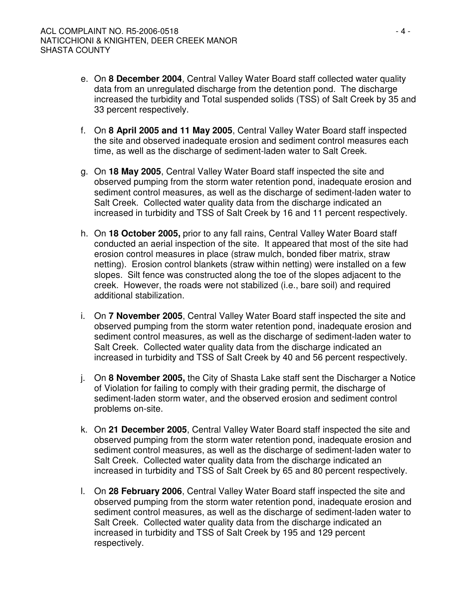- e. On **8 December 2004**, Central Valley Water Board staff collected water quality data from an unregulated discharge from the detention pond. The discharge increased the turbidity and Total suspended solids (TSS) of Salt Creek by 35 and 33 percent respectively.
- f. On **8 April 2005 and 11 May 2005**, Central Valley Water Board staff inspected the site and observed inadequate erosion and sediment control measures each time, as well as the discharge of sediment-laden water to Salt Creek.
- g. On **18 May 2005**, Central Valley Water Board staff inspected the site and observed pumping from the storm water retention pond, inadequate erosion and sediment control measures, as well as the discharge of sediment-laden water to Salt Creek. Collected water quality data from the discharge indicated an increased in turbidity and TSS of Salt Creek by 16 and 11 percent respectively.
- h. On **18 October 2005,** prior to any fall rains, Central Valley Water Board staff conducted an aerial inspection of the site. It appeared that most of the site had erosion control measures in place (straw mulch, bonded fiber matrix, straw netting). Erosion control blankets (straw within netting) were installed on a few slopes. Silt fence was constructed along the toe of the slopes adjacent to the creek. However, the roads were not stabilized (i.e., bare soil) and required additional stabilization.
- i. On **7 November 2005**, Central Valley Water Board staff inspected the site and observed pumping from the storm water retention pond, inadequate erosion and sediment control measures, as well as the discharge of sediment-laden water to Salt Creek. Collected water quality data from the discharge indicated an increased in turbidity and TSS of Salt Creek by 40 and 56 percent respectively.
- j. On **8 November 2005,** the City of Shasta Lake staff sent the Discharger a Notice of Violation for failing to comply with their grading permit, the discharge of sediment-laden storm water, and the observed erosion and sediment control problems on-site.
- k. On **21 December 2005**, Central Valley Water Board staff inspected the site and observed pumping from the storm water retention pond, inadequate erosion and sediment control measures, as well as the discharge of sediment-laden water to Salt Creek. Collected water quality data from the discharge indicated an increased in turbidity and TSS of Salt Creek by 65 and 80 percent respectively.
- l. On **28 February 2006**, Central Valley Water Board staff inspected the site and observed pumping from the storm water retention pond, inadequate erosion and sediment control measures, as well as the discharge of sediment-laden water to Salt Creek. Collected water quality data from the discharge indicated an increased in turbidity and TSS of Salt Creek by 195 and 129 percent respectively.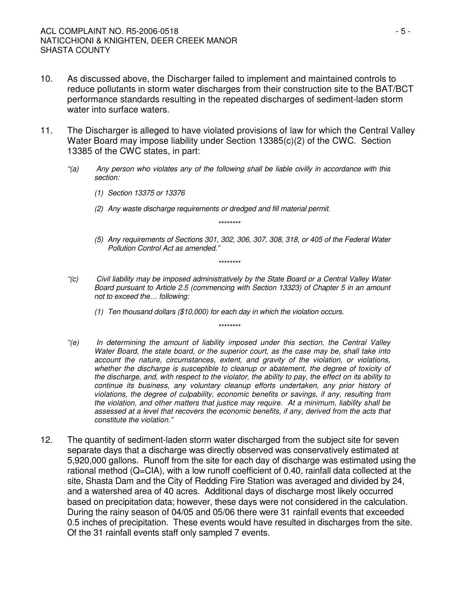- 10. As discussed above, the Discharger failed to implement and maintained controls to reduce pollutants in storm water discharges from their construction site to the BAT/BCT performance standards resulting in the repeated discharges of sediment-laden storm water into surface waters.
- 11. The Discharger is alleged to have violated provisions of law for which the Central Valley Water Board may impose liability under Section 13385(c)(2) of the CWC. Section 13385 of the CWC states, in part:
	- *"(a) Any person who violates any of the following shall be liable civilly in accordance with this section:*
		- *(1) Section 13375 or 13376*
		- *(2) Any waste discharge requirements or dredged and fill material permit.*
		- *(5) Any requirements of Sections 301, 302, 306, 307, 308, 318, or 405 of the Federal Water*

*\*\*\*\*\*\*\*\**

- *Pollution Control Act as amended." \*\*\*\*\*\*\*\**
- *"(c) Civil liability may be imposed administratively by the State Board or a Central Valley Water Board pursuant to Article 2.5 (commencing with Section 13323) of Chapter 5 in an amount not to exceed the… following:*

*\*\*\*\*\*\*\*\**

- *(1) Ten thousand dollars (\$10,000) for each day in which the violation occurs.*
- *"(e) In determining the amount of liability imposed under this section, the Central Valley Water Board, the state board, or the superior court, as the case may be, shall take into account the nature, circumstances, extent, and gravity of the violation, or violations, whether the discharge is susceptible to cleanup or abatement, the degree of toxicity of the discharge, and, with respect to the violator, the ability to pay, the effect on its ability to continue its business, any voluntary cleanup efforts undertaken, any prior history of violations, the degree of culpability, economic benefits or savings, if any, resulting from the violation, and other matters that justice may require. At a minimum, liability shall be assessed at a level that recovers the economic benefits, if any, derived from the acts that constitute the violation."*
- 12. The quantity of sediment-laden storm water discharged from the subject site for seven separate days that a discharge was directly observed was conservatively estimated at 5,920,000 gallons. Runoff from the site for each day of discharge was estimated using the rational method (Q=CIA), with a low runoff coefficient of 0.40, rainfall data collected at the site, Shasta Dam and the City of Redding Fire Station was averaged and divided by 24, and a watershed area of 40 acres. Additional days of discharge most likely occurred based on precipitation data; however, these days were not considered in the calculation. During the rainy season of 04/05 and 05/06 there were 31 rainfall events that exceeded 0.5 inches of precipitation. These events would have resulted in discharges from the site. Of the 31 rainfall events staff only sampled 7 events.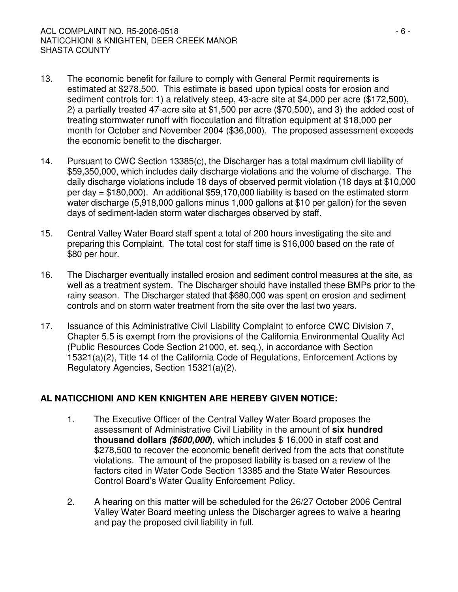- 13. The economic benefit for failure to comply with General Permit requirements is estimated at \$278,500. This estimate is based upon typical costs for erosion and sediment controls for: 1) a relatively steep, 43-acre site at \$4,000 per acre (\$172,500), 2) a partially treated 47-acre site at \$1,500 per acre (\$70,500), and 3) the added cost of treating stormwater runoff with flocculation and filtration equipment at \$18,000 per month for October and November 2004 (\$36,000). The proposed assessment exceeds the economic benefit to the discharger.
- 14. Pursuant to CWC Section 13385(c), the Discharger has a total maximum civil liability of \$59,350,000, which includes daily discharge violations and the volume of discharge. The daily discharge violations include 18 days of observed permit violation (18 days at \$10,000 per day = \$180,000). An additional \$59,170,000 liability is based on the estimated storm water discharge (5,918,000 gallons minus 1,000 gallons at \$10 per gallon) for the seven days of sediment-laden storm water discharges observed by staff.
- 15. Central Valley Water Board staff spent a total of 200 hours investigating the site and preparing this Complaint. The total cost for staff time is \$16,000 based on the rate of \$80 per hour.
- 16. The Discharger eventually installed erosion and sediment control measures at the site, as well as a treatment system. The Discharger should have installed these BMPs prior to the rainy season. The Discharger stated that \$680,000 was spent on erosion and sediment controls and on storm water treatment from the site over the last two years.
- 17. Issuance of this Administrative Civil Liability Complaint to enforce CWC Division 7, Chapter 5.5 is exempt from the provisions of the California Environmental Quality Act (Public Resources Code Section 21000, et. seq.), in accordance with Section 15321(a)(2), Title 14 of the California Code of Regulations, Enforcement Actions by Regulatory Agencies, Section 15321(a)(2).

# **AL NATICCHIONI AND KEN KNIGHTEN ARE HEREBY GIVEN NOTICE:**

- 1. The Executive Officer of the Central Valley Water Board proposes the assessment of Administrative Civil Liability in the amount of **six hundred thousand dollars** *(\$600,000***)**, which includes \$ 16,000 in staff cost and \$278,500 to recover the economic benefit derived from the acts that constitute violations. The amount of the proposed liability is based on a review of the factors cited in Water Code Section 13385 and the State Water Resources Control Board's Water Quality Enforcement Policy.
- 2. A hearing on this matter will be scheduled for the 26/27 October 2006 Central Valley Water Board meeting unless the Discharger agrees to waive a hearing and pay the proposed civil liability in full.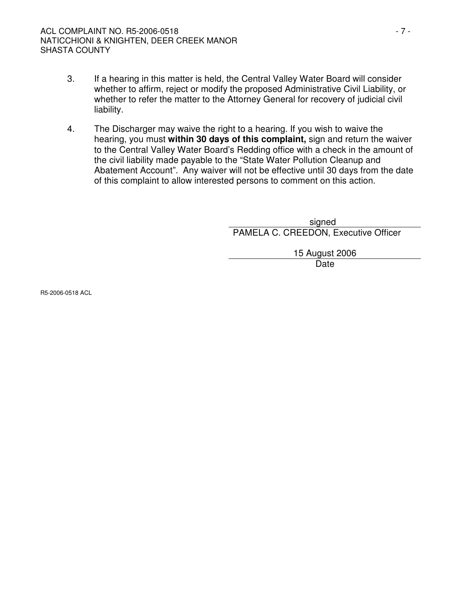### ACL COMPLAINT NO. R5-2006-0518 - 7 - NATICCHIONI & KNIGHTEN, DEER CREEK MANOR SHASTA COUNTY

- 3. If a hearing in this matter is held, the Central Valley Water Board will consider whether to affirm, reject or modify the proposed Administrative Civil Liability, or whether to refer the matter to the Attorney General for recovery of judicial civil liability.
- 4. The Discharger may waive the right to a hearing. If you wish to waive the hearing, you must **within 30 days of this complaint,** sign and return the waiver to the Central Valley Water Board's Redding office with a check in the amount of the civil liability made payable to the "State Water Pollution Cleanup and Abatement Account". Any waiver will not be effective until 30 days from the date of this complaint to allow interested persons to comment on this action.

signed PAMELA C. CREEDON, Executive Officer

> 15 August 2006 Date

R5-2006-0518 ACL